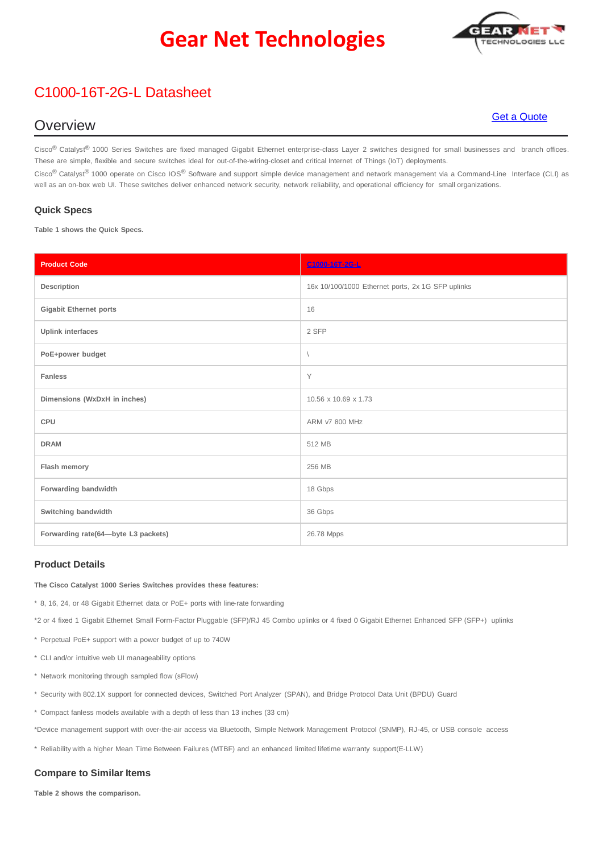## **Gear Net Technologies**

## C1000-16T-2G-L Datasheet

### **Overview**

Cisco<sup>®</sup> Catalyst<sup>®</sup> 1000 Series Switches are fixed managed Gigabit Ethernet enterprise-class Layer 2 switches designed for small businesses and branch offices. These are simple, flexible and secure switches ideal for out-of-the-wiring-closet and critical Internet of Things (IoT) deployments.

Cisco<sup>®</sup> Catalyst<sup>®</sup> 1000 operate on Cisco IOS<sup>®</sup> Software and support simple device management and network management via a Command-Line Interface (CLI) as well as an on-box web UI. These switches deliver enhanced network security, network reliability, and operational efficiency for small organizations.

#### **Quick Specs**

**Table 1 shows the Quick Specs.**

| <b>Product Code</b>                 | C1000-16T-2G-L                                    |  |
|-------------------------------------|---------------------------------------------------|--|
| Description                         | 16x 10/100/1000 Ethernet ports, 2x 1G SFP uplinks |  |
| <b>Gigabit Ethernet ports</b>       | 16                                                |  |
| <b>Uplink interfaces</b>            | 2 SFP                                             |  |
| PoE+power budget                    | $\overline{\phantom{a}}$                          |  |
| <b>Fanless</b>                      | Y                                                 |  |
| Dimensions (WxDxH in inches)        | 10.56 x 10.69 x 1.73                              |  |
| CPU                                 | ARM v7 800 MHz                                    |  |
| <b>DRAM</b>                         | 512 MB                                            |  |
| Flash memory                        | 256 MB                                            |  |
| Forwarding bandwidth                | 18 Gbps                                           |  |
| Switching bandwidth                 | 36 Gbps                                           |  |
| Forwarding rate(64-byte L3 packets) | 26.78 Mpps                                        |  |

### **Product Details**

**The Cisco Catalyst 1000 Series Switches provides these features:**

\* 8, 16, 24, or 48 Gigabit Ethernet data or PoE+ ports with line-rate forwarding

\*2 or 4 fixed 1 Gigabit Ethernet Small Form-Factor Pluggable (SFP)/RJ 45 Combo uplinks or 4 fixed 0 Gigabit Ethernet Enhanced SFP (SFP+) uplinks

\* Perpetual PoE+ support with a power budget of up to 740W

\* CLI and/or intuitive web UI manageability options

\* Network monitoring through sampled flow (sFlow)

\* Security with 802.1X support for connected devices, Switched Port Analyzer (SPAN), and Bridge Protocol Data Unit (BPDU) Guard

\* Compact fanless models available with a depth of less than 13 inches (33 cm)

\*Device management support with over-the-air access via Bluetooth, Simple Network Management Protocol (SNMP), RJ-45, or USB console access

\* Reliability with a higher Mean Time Between Failures (MTBF) and an enhanced limited lifetime warranty support(E-LLW)

### **Compare to Similar Items**

**Table 2 shows the comparison.**

# **ECHNOLOGIES L**

### Get a [Quote](https://gntme.com/c1000-16t-2g-l-2/)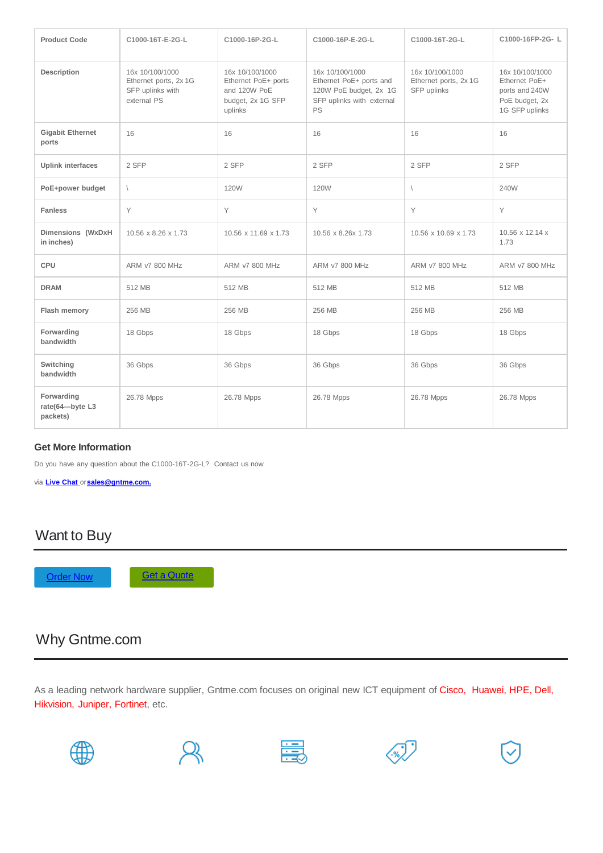| <b>Product Code</b>                       | C1000-16T-E-2G-L                                                            | C1000-16P-2G-L                                                                         | C1000-16P-E-2G-L                                                                                        | C1000-16T-2G-L                                          | C1000-16FP-2G-L                                                                        |
|-------------------------------------------|-----------------------------------------------------------------------------|----------------------------------------------------------------------------------------|---------------------------------------------------------------------------------------------------------|---------------------------------------------------------|----------------------------------------------------------------------------------------|
| <b>Description</b>                        | 16x 10/100/1000<br>Ethernet ports, 2x 1G<br>SFP uplinks with<br>external PS | 16x 10/100/1000<br>Ethernet PoE+ ports<br>and 120W PoE<br>budget, 2x 1G SFP<br>uplinks | 16x 10/100/1000<br>Ethernet PoE+ ports and<br>120W PoE budget, 2x 1G<br>SFP uplinks with external<br>PS | 16x 10/100/1000<br>Ethernet ports, 2x 1G<br>SFP uplinks | 16x 10/100/1000<br>Ethernet PoE+<br>ports and 240W<br>PoE budget, 2x<br>1G SFP uplinks |
| <b>Gigabit Ethernet</b><br>ports          | 16                                                                          | 16                                                                                     | 16                                                                                                      | 16                                                      | 16                                                                                     |
| <b>Uplink interfaces</b>                  | 2 SFP                                                                       | 2 SFP                                                                                  | 2 SFP                                                                                                   | 2 SFP                                                   | 2 SFP                                                                                  |
| PoE+power budget                          | $\sqrt{2}$                                                                  | <b>120W</b>                                                                            | <b>120W</b>                                                                                             | $\sqrt{2}$                                              | 240W                                                                                   |
| <b>Fanless</b>                            | Y                                                                           | Y                                                                                      | Y                                                                                                       | Y                                                       | Y                                                                                      |
| Dimensions (WxDxH<br>in inches)           | 10.56 x 8.26 x 1.73                                                         | 10.56 x 11.69 x 1.73                                                                   | 10.56 x 8.26x 1.73                                                                                      | 10.56 x 10.69 x 1.73                                    | 10.56 x 12.14 x<br>1.73                                                                |
| CPU                                       | <b>ARM v7 800 MHz</b>                                                       | <b>ARM v7 800 MHz</b>                                                                  | <b>ARM v7 800 MHz</b>                                                                                   | <b>ARM v7 800 MHz</b>                                   | <b>ARM v7 800 MHz</b>                                                                  |
| <b>DRAM</b>                               | 512 MB                                                                      | 512 MB                                                                                 | 512 MB                                                                                                  | 512 MB                                                  | 512 MB                                                                                 |
| Flash memory                              | 256 MB                                                                      | 256 MB                                                                                 | 256 MB                                                                                                  | 256 MB                                                  | 256 MB                                                                                 |
| Forwarding<br>bandwidth                   | 18 Gbps                                                                     | 18 Gbps                                                                                | 18 Gbps                                                                                                 | 18 Gbps                                                 | 18 Gbps                                                                                |
| Switching<br>bandwidth                    | 36 Gbps                                                                     | 36 Gbps                                                                                | 36 Gbps                                                                                                 | 36 Gbps                                                 | 36 Gbps                                                                                |
| Forwarding<br>rate(64-byte L3<br>packets) | 26.78 Mpps                                                                  | 26.78 Mpps                                                                             | 26.78 Mpps                                                                                              | 26.78 Mpps                                              | 26.78 Mpps                                                                             |

### **Get More Information**

Do you have any question about the C1000-16T-2G-L? Contact us now

via **[Live Chat](https://gntme.com/)** or**[sales@gntme.com.](mailto:sales@gntme.com)**

### Want to Buy

[Order](https://gntme.com/c1000-16t-2g-l-2/) [Now](https://gntme.com/c1000-16t-2g-l-2/) Get [a](https://gntme.com/c1000-16t-2g-l-2/) [Quote](https://gntme.com/c1000-16t-2g-l-2/)

## Why Gntme.com

As a leading network hardware supplier, Gntme.com focuses on original new ICT equipment of Cisco, Huawei, HPE, Dell, Hikvision, Juniper, Fortinet, etc.